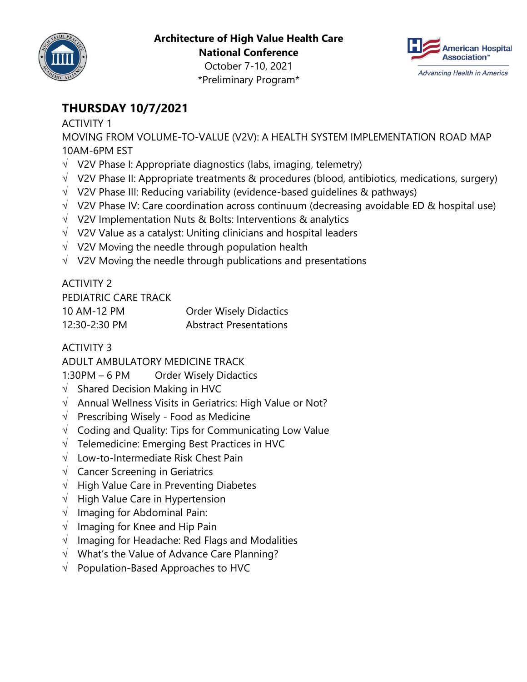

**Architecture of High Value Health Care National Conference**



October 7-10, 2021 \*Preliminary Program\*

# **THURSDAY 10/7/2021**

#### ACTIVITY 1

MOVING FROM VOLUME-TO-VALUE (V2V): A HEALTH SYSTEM IMPLEMENTATION ROAD MAP 10AM-6PM EST

- $\sqrt{ }$  V2V Phase I: Appropriate diagnostics (labs, imaging, telemetry)
- $\sqrt{ }$  V2V Phase II: Appropriate treatments & procedures (blood, antibiotics, medications, surgery)
- $\sqrt{ }$  V2V Phase III: Reducing variability (evidence-based guidelines & pathways)
- $\sqrt{ }$  V2V Phase IV: Care coordination across continuum (decreasing avoidable ED & hospital use)
- $\sqrt{ }$  V2V Implementation Nuts & Bolts: Interventions & analytics
- $\sqrt{ }$  V2V Value as a catalyst: Uniting clinicians and hospital leaders
- $\sqrt{ }$  V2V Moving the needle through population health
- $\sqrt{ }$  V2V Moving the needle through publications and presentations

#### ACTIVITY 2

| PEDIATRIC CARE TRACK |                               |
|----------------------|-------------------------------|
| 10 AM-12 PM          | <b>Order Wisely Didactics</b> |
| 12:30-2:30 PM        | <b>Abstract Presentations</b> |

### ACTIVITY 3

ADULT AMBULATORY MEDICINE TRACK

1:30PM - 6 PM Order Wisely Didactics

- $\sqrt{ }$  Shared Decision Making in HVC
- $\sqrt{ }$  Annual Wellness Visits in Geriatrics: High Value or Not?
- $\sqrt{ }$  Prescribing Wisely Food as Medicine
- $\sqrt{ }$  Coding and Quality: Tips for Communicating Low Value
- $\sqrt{ }$  Telemedicine: Emerging Best Practices in HVC
- $\sqrt{ }$  Low-to-Intermediate Risk Chest Pain
- $\sqrt{ }$  Cancer Screening in Geriatrics
- $\sqrt{\phantom{a}}$  High Value Care in Preventing Diabetes
- $\sqrt{\phantom{a}}$  High Value Care in Hypertension
- $\sqrt{\phantom{a}}$  Imaging for Abdominal Pain:
- $\sqrt{ }$  Imaging for Knee and Hip Pain
- $\sqrt{\phantom{a}}$  Imaging for Headache: Red Flags and Modalities
- $\sqrt{ }$  What's the Value of Advance Care Planning?
- $\sqrt{\phantom{a}}$  Population-Based Approaches to HVC